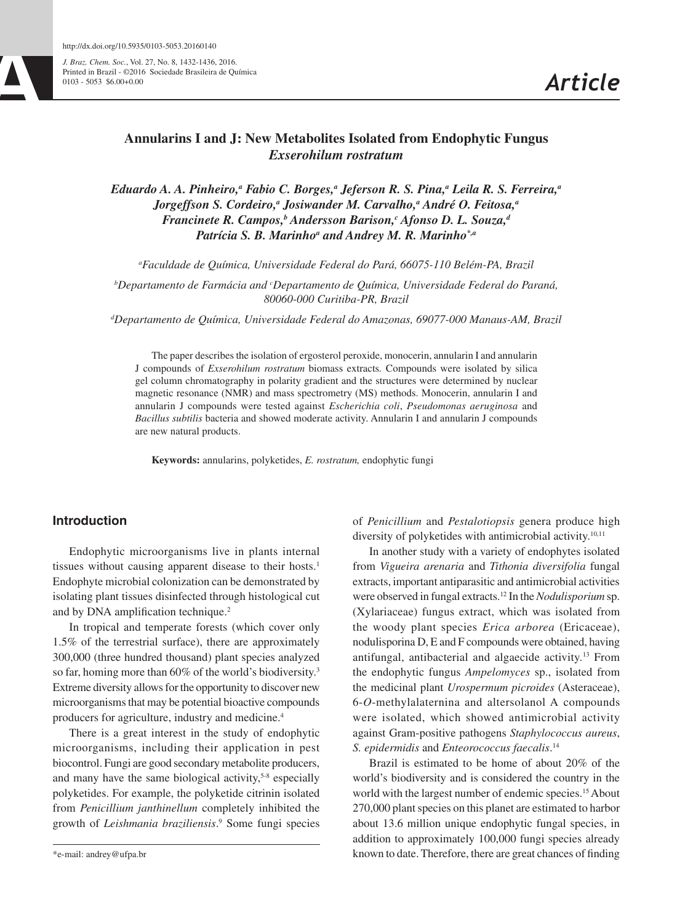*J. Braz. Chem. Soc.*, Vol. 27, No. 8, 1432-1436, 2016. Printed in Brazil - ©2016 Sociedade Brasileira de Química 0103 - 5053 \$6.00+0.00

# **Annularins I and J: New Metabolites Isolated from Endophytic Fungus**  *Exserohilum rostratum*

*Eduardo A. A. Pinheiro,a Fabio C. Borges,a Jeferson R. S. Pina,a Leila R. S. Ferreira,a Jorgeffson S. Cordeiro,<sup>a</sup> Josiwander M. Carvalho,<sup>a</sup> André O. Feitosa,<sup>a</sup>* **Francinete R. Campos,<sup>b</sup> Andersson Barison,<sup>c</sup> Afonso D. L. Souza,<sup>d</sup>** Patrícia S. B. Marinho<sup>a</sup> and Andrey M. R. Marinho<sup>\*,a</sup>

*a Faculdade de Química, Universidade Federal do Pará, 66075-110 Belém-PA, Brazil*

*b Departamento de Farmácia and c Departamento de Química, Universidade Federal do Paraná, 80060-000 Curitiba-PR, Brazil*

*d Departamento de Química, Universidade Federal do Amazonas, 69077-000 Manaus-AM, Brazil*

The paper describes the isolation of ergosterol peroxide, monocerin, annularin I and annularin J compounds of *Exserohilum rostratum* biomass extracts*.* Compounds were isolated by silica gel column chromatography in polarity gradient and the structures were determined by nuclear magnetic resonance (NMR) and mass spectrometry (MS) methods. Monocerin, annularin I and annularin J compounds were tested against *Escherichia coli*, *Pseudomonas aeruginosa* and *Bacillus subtilis* bacteria and showed moderate activity. Annularin I and annularin J compounds are new natural products.

**Keywords:** annularins, polyketides, *E. rostratum,* endophytic fungi

# **Introduction**

Endophytic microorganisms live in plants internal tissues without causing apparent disease to their hosts.<sup>1</sup> Endophyte microbial colonization can be demonstrated by isolating plant tissues disinfected through histological cut and by DNA amplification technique.<sup>2</sup>

In tropical and temperate forests (which cover only 1.5% of the terrestrial surface), there are approximately 300,000 (three hundred thousand) plant species analyzed so far, homing more than 60% of the world's biodiversity.<sup>3</sup> Extreme diversity allows for the opportunity to discover new microorganisms that may be potential bioactive compounds producers for agriculture, industry and medicine.4

There is a great interest in the study of endophytic microorganisms, including their application in pest biocontrol. Fungi are good secondary metabolite producers, and many have the same biological activity,<sup>5-8</sup> especially polyketides. For example, the polyketide citrinin isolated from *Penicillium janthinellum* completely inhibited the growth of *Leishmania braziliensis*. 9 Some fungi species

\*e-mail: andrey@ufpa.br

of *Penicillium* and *Pestalotiopsis* genera produce high diversity of polyketides with antimicrobial activity.<sup>10,11</sup>

In another study with a variety of endophytes isolated from *Vigueira arenaria* and *Tithonia diversifolia* fungal extracts, important antiparasitic and antimicrobial activities were observed in fungal extracts.12 In the *Nodulisporium* sp. (Xylariaceae) fungus extract, which was isolated from the woody plant species *Erica arborea* (Ericaceae), nodulisporina D, E and F compounds were obtained, having antifungal, antibacterial and algaecide activity.13 From the endophytic fungus *Ampelomyces* sp., isolated from the medicinal plant *Urospermum picroides* (Asteraceae), 6-*O*-methylalaternina and altersolanol A compounds were isolated, which showed antimicrobial activity against Gram-positive pathogens *Staphylococcus aureus*, *S. epidermidis* and *Enteorococcus faecalis*. 14

Brazil is estimated to be home of about 20% of the world's biodiversity and is considered the country in the world with the largest number of endemic species.<sup>15</sup> About 270,000 plant species on this planet are estimated to harbor about 13.6 million unique endophytic fungal species, in addition to approximately 100,000 fungi species already known to date. Therefore, there are great chances of finding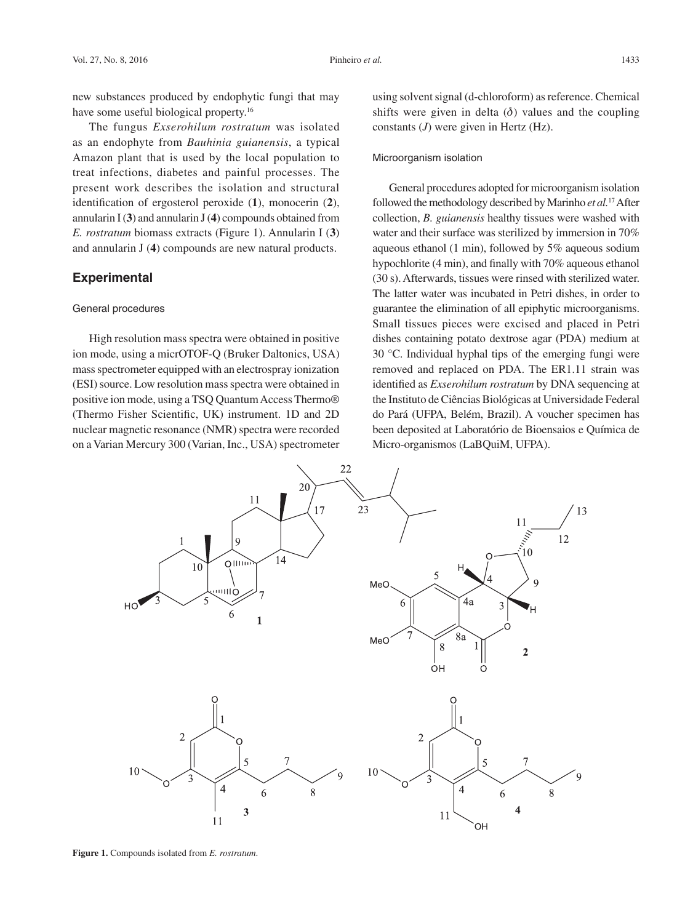new substances produced by endophytic fungi that may have some useful biological property.<sup>16</sup>

The fungus *Exserohilum rostratum* was isolated as an endophyte from *Bauhinia guianensis*, a typical Amazon plant that is used by the local population to treat infections, diabetes and painful processes. The present work describes the isolation and structural identification of ergosterol peroxide (**1**), monocerin (**2**), annularin I(**3**) and annularin J(**4**) compounds obtained from *E. rostratum* biomass extracts (Figure 1). Annularin I (**3**) and annularin J (**4**) compounds are new natural products.

# **Experimental**

#### General procedures

High resolution mass spectra were obtained in positive ion mode, using a micrOTOF-Q (Bruker Daltonics, USA) mass spectrometer equipped with an electrospray ionization (ESI) source. Low resolution mass spectra were obtained in positive ion mode, using a TSQ Quantum Access Thermo® (Thermo Fisher Scientific, UK) instrument. 1D and 2D nuclear magnetic resonance (NMR) spectra were recorded on a Varian Mercury 300 (Varian, Inc., USA) spectrometer using solvent signal (d-chloroform) as reference. Chemical shifts were given in delta  $(\delta)$  values and the coupling constants (*J*) were given in Hertz (Hz).

#### Microorganism isolation

General procedures adopted for microorganism isolation followed the methodology described by Marinho *et al.*17 After collection, *B. guianensis* healthy tissues were washed with water and their surface was sterilized by immersion in 70% aqueous ethanol (1 min), followed by 5% aqueous sodium hypochlorite (4 min), and finally with 70% aqueous ethanol (30 s). Afterwards, tissues were rinsed with sterilized water. The latter water was incubated in Petri dishes, in order to guarantee the elimination of all epiphytic microorganisms. Small tissues pieces were excised and placed in Petri dishes containing potato dextrose agar (PDA) medium at 30 °C. Individual hyphal tips of the emerging fungi were removed and replaced on PDA. The ER1.11 strain was identified as *Exserohilum rostratum* by DNA sequencing at the Instituto de Ciências Biológicas at Universidade Federal do Pará (UFPA, Belém, Brazil). A voucher specimen has been deposited at Laboratório de Bioensaios e Química de Micro-organismos (LaBQuiM, UFPA).



**Figure 1.** Compounds isolated from *E. rostratum*.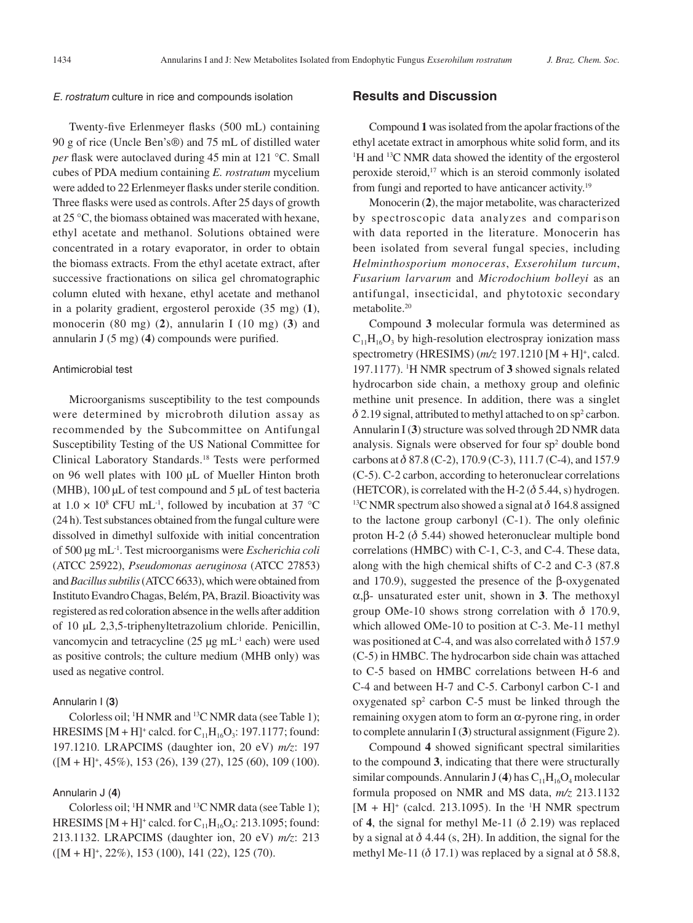#### *E. rostratum* culture in rice and compounds isolation

Twenty-five Erlenmeyer flasks (500 mL) containing 90 g of rice (Uncle Ben's®) and 75 mL of distilled water *per* flask were autoclaved during 45 min at 121 °C. Small cubes of PDA medium containing *E. rostratum* mycelium were added to 22 Erlenmeyer flasks under sterile condition. Three flasks were used as controls. After 25 days of growth at 25 °C, the biomass obtained was macerated with hexane, ethyl acetate and methanol. Solutions obtained were concentrated in a rotary evaporator, in order to obtain the biomass extracts. From the ethyl acetate extract, after successive fractionations on silica gel chromatographic column eluted with hexane, ethyl acetate and methanol in a polarity gradient, ergosterol peroxide (35 mg) (**1**), monocerin (80 mg) (**2**), annularin I (10 mg) (**3**) and annularin J (5 mg) (**4**) compounds were purified.

#### Antimicrobial test

Microorganisms susceptibility to the test compounds were determined by microbroth dilution assay as recommended by the Subcommittee on Antifungal Susceptibility Testing of the US National Committee for Clinical Laboratory Standards.18 Tests were performed on 96 well plates with 100 μL of Mueller Hinton broth (MHB), 100 μL of test compound and 5 μL of test bacteria at  $1.0 \times 10^8$  CFU mL<sup>-1</sup>, followed by incubation at 37 °C (24 h). Test substances obtained from the fungal culture were dissolved in dimethyl sulfoxide with initial concentration of 500 μg mL-1. Test microorganisms were *Escherichia coli*  (ATCC 25922), *Pseudomonas aeruginosa* (ATCC 27853) and *Bacillus subtilis* (ATCC 6633), which were obtained from Instituto Evandro Chagas, Belém, PA, Brazil. Bioactivity was registered as red coloration absence in the wells after addition of 10 μL 2,3,5-triphenyltetrazolium chloride. Penicillin, vancomycin and tetracycline  $(25 \mu g \text{ mL}^{-1} \text{ each})$  were used as positive controls; the culture medium (MHB only) was used as negative control.

### Annularin I (**3**)

Colorless oil; <sup>1</sup>H NMR and <sup>13</sup>C NMR data (see Table 1); HRESIMS  $[M + H]^+$  calcd. for  $C_{11}H_{16}O_3$ : 197.1177; found: 197.1210. LRAPCIMS (daughter ion, 20 eV) *m/z*: 197 ([M + H]+ , 45%), 153 (26), 139 (27), 125 (60), 109 (100).

#### Annularin J (**4**)

Colorless oil; <sup>1</sup>H NMR and <sup>13</sup>C NMR data (see Table 1); HRESIMS  $[M + H]^+$  calcd. for  $C_{11}H_{16}O_4$ : 213.1095; found: 213.1132. LRAPCIMS (daughter ion, 20 eV) *m/z*: 213 ([M + H]+ , 22%), 153 (100), 141 (22), 125 (70).

### **Results and Discussion**

Compound **1** was isolated from the apolar fractions of the ethyl acetate extract in amorphous white solid form, and its <sup>1</sup>H and <sup>13</sup>C NMR data showed the identity of the ergosterol peroxide steroid,17 which is an steroid commonly isolated from fungi and reported to have anticancer activity.19

Monocerin (**2**), the major metabolite, was characterized by spectroscopic data analyzes and comparison with data reported in the literature. Monocerin has been isolated from several fungal species, including *Helminthosporium monoceras*, *Exserohilum turcum*, *Fusarium larvarum* and *Microdochium bolleyi* as an antifungal, insecticidal, and phytotoxic secondary metabolite.20

Compound **3** molecular formula was determined as  $C_{11}H_{16}O_3$  by high-resolution electrospray ionization mass spectrometry (HRESIMS) ( $m/z$  197.1210 [M + H]<sup>+</sup>, calcd. 197.1177). 1 H NMR spectrum of **3** showed signals related hydrocarbon side chain, a methoxy group and olefinic methine unit presence. In addition, there was a singlet  $\delta$  2.19 signal, attributed to methyl attached to on sp<sup>2</sup> carbon. Annularin I (**3**) structure was solved through 2D NMR data analysis. Signals were observed for four sp<sup>2</sup> double bond carbons at  $\delta$  87.8 (C-2), 170.9 (C-3), 111.7 (C-4), and 157.9 (C-5). C-2 carbon, according to heteronuclear correlations (HETCOR), is correlated with the H-2 ( $\delta$  5.44, s) hydrogen. <sup>13</sup>C NMR spectrum also showed a signal at  $\delta$  164.8 assigned to the lactone group carbonyl (C-1). The only olefinic proton H-2 ( $\delta$  5.44) showed heteronuclear multiple bond correlations (HMBC) with C-1, C-3, and C-4. These data, along with the high chemical shifts of C-2 and C-3 (87.8 and 170.9), suggested the presence of the β-oxygenated α,β- unsaturated ester unit, shown in **3**. The methoxyl group OMe-10 shows strong correlation with  $\delta$  170.9, which allowed OMe-10 to position at C-3. Me-11 methyl was positioned at C-4, and was also correlated with  $\delta$  157.9 (C-5) in HMBC. The hydrocarbon side chain was attached to C-5 based on HMBC correlations between H-6 and C-4 and between H-7 and C-5. Carbonyl carbon C-1 and oxygenated  $sp<sup>2</sup>$  carbon C-5 must be linked through the remaining oxygen atom to form an  $\alpha$ -pyrone ring, in order to complete annularin I (**3**) structural assignment (Figure 2).

Compound **4** showed significant spectral similarities to the compound **3**, indicating that there were structurally similar compounds. Annularin J (4) has  $C_{11}H_{16}O_4$  molecular formula proposed on NMR and MS data, *m/z* 213.1132  $[M + H]$ <sup>+</sup> (calcd. 213.1095). In the <sup>1</sup>H NMR spectrum of 4, the signal for methyl Me-11  $(\delta 2.19)$  was replaced by a signal at  $\delta$  4.44 (s, 2H). In addition, the signal for the methyl Me-11 ( $\delta$  17.1) was replaced by a signal at  $\delta$  58.8,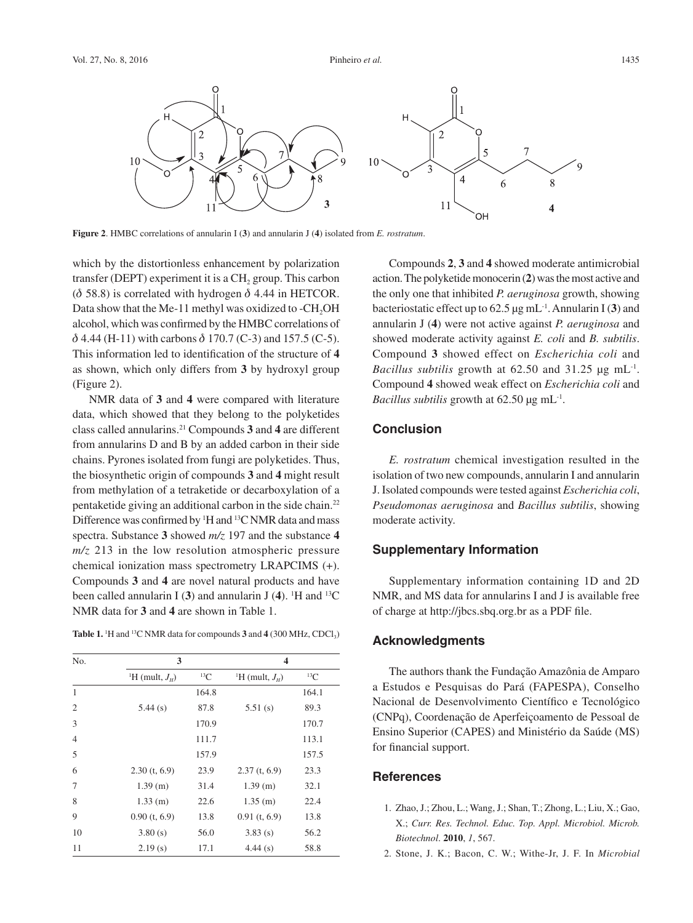

**Figure 2**. HMBC correlations of annularin I (**3**) and annularin J (**4**) isolated from *E. rostratum*.

which by the distortionless enhancement by polarization transfer (DEPT) experiment it is a  $CH<sub>2</sub>$  group. This carbon ( $\delta$  58.8) is correlated with hydrogen  $\delta$  4.44 in HETCOR. Data show that the Me-11 methyl was oxidized to -CH<sub>2</sub>OH alcohol, which was confirmed by the HMBC correlations of  $\delta$  4.44 (H-11) with carbons  $\delta$  170.7 (C-3) and 157.5 (C-5). This information led to identification of the structure of **4**  as shown, which only differs from **3** by hydroxyl group (Figure 2).

NMR data of **3** and **4** were compared with literature data, which showed that they belong to the polyketides class called annularins.21 Compounds **3** and **4** are different from annularins D and B by an added carbon in their side chains. Pyrones isolated from fungi are polyketides. Thus, the biosynthetic origin of compounds **3** and **4** might result from methylation of a tetraketide or decarboxylation of a pentaketide giving an additional carbon in the side chain.22 Difference was confirmed by  ${}^{1}$ H and  ${}^{13}$ C NMR data and mass spectra. Substance **3** showed *m/z* 197 and the substance **4** *m/z* 213 in the low resolution atmospheric pressure chemical ionization mass spectrometry LRAPCIMS (+). Compounds **3** and **4** are novel natural products and have been called annularin I  $(3)$  and annularin J  $(4)$ . <sup>1</sup>H and <sup>13</sup>C NMR data for **3** and **4** are shown in Table 1.

**Table 1.** <sup>1</sup>H and <sup>13</sup>C NMR data for compounds **3** and **4** (300 MHz, CDCl<sub>3</sub>)

| No.            | 3                               |            | 4                               |            |
|----------------|---------------------------------|------------|---------------------------------|------------|
|                | <sup>1</sup> H (mult, $J_{H}$ ) | ${}^{13}C$ | <sup>1</sup> H (mult, $J_{H}$ ) | ${}^{13}C$ |
| $\mathbf{1}$   |                                 | 164.8      |                                 | 164.1      |
| $\overline{c}$ | 5.44(s)                         | 87.8       | 5.51(s)                         | 89.3       |
| 3              |                                 | 170.9      |                                 | 170.7      |
| $\overline{4}$ |                                 | 111.7      |                                 | 113.1      |
| 5              |                                 | 157.9      |                                 | 157.5      |
| 6              | $2.30$ (t, 6.9)                 | 23.9       | $2.37$ (t, 6.9)                 | 23.3       |
| 7              | 1.39(m)                         | 31.4       | $1.39$ (m)                      | 32.1       |
| 8              | $1.33$ (m)                      | 22.6       | $1.35$ (m)                      | 22.4       |
| 9              | $0.90$ (t, 6.9)                 | 13.8       | $0.91$ (t, 6.9)                 | 13.8       |
| 10             | 3.80(s)                         | 56.0       | 3.83(s)                         | 56.2       |
| 11             | 2.19(s)                         | 17.1       | 4.44(s)                         | 58.8       |

Compounds **2**, **3** and **4** showed moderate antimicrobial action. The polyketide monocerin (**2**) was the most active and the only one that inhibited *P. aeruginosa* growth, showing bacteriostatic effect up to 62.5 µg mL-1 . Annularin I (**3**) and annularin J (**4**) were not active against *P. aeruginosa* and showed moderate activity against *E. coli* and *B. subtilis*. Compound **3** showed effect on *Escherichia coli* and *Bacillus subtilis* growth at 62.50 and 31.25 µg mL-1. Compound **4** showed weak effect on *Escherichia coli* and *Bacillus subtilis* growth at 62.50 µg mL<sup>-1</sup>.

# **Conclusion**

*E. rostratum* chemical investigation resulted in the isolation of two new compounds, annularin I and annularin J. Isolated compounds were tested against *Escherichia coli*, *Pseudomonas aeruginosa* and *Bacillus subtilis*, showing moderate activity.

# **Supplementary Information**

Supplementary information containing 1D and 2D NMR, and MS data for annularins I and J is available free of charge at http://jbcs.sbq.org.br as a PDF file.

# **Acknowledgments**

The authors thank the Fundação Amazônia de Amparo a Estudos e Pesquisas do Pará (FAPESPA), Conselho Nacional de Desenvolvimento Científico e Tecnológico (CNPq), Coordenação de Aperfeiçoamento de Pessoal de Ensino Superior (CAPES) and Ministério da Saúde (MS) for financial support.

# **References**

- 1. Zhao, J.; Zhou, L.; Wang, J.; Shan, T.; Zhong, L.; Liu, X.; Gao, X.; *Curr. Res. Technol. Educ. Top. Appl. Microbiol. Microb. Biotechnol*. **2010**, *1*, 567.
- 2. Stone, J. K.; Bacon, C. W.; Withe-Jr, J. F. In *Microbial*